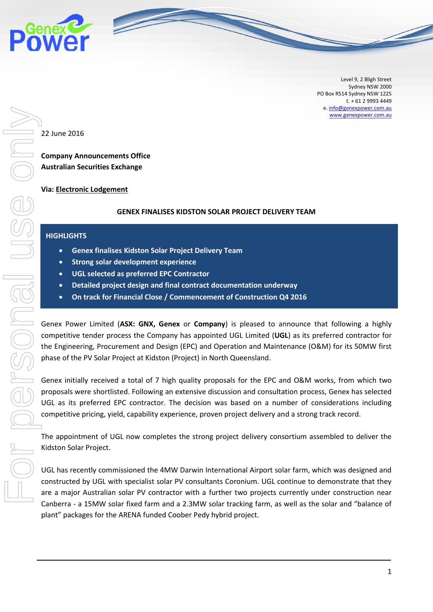

Level 9, 2 Bligh Street Sydney NSW 2000 PO Box R514 Sydney NSW 1225 t. + 61 2 9993 4449 e[. info@genexpower.com.au](mailto:info@genexpower.com.au) [www.genexpower.com.au](http://www.genexpower.com.au/)

22 June 2016

**Company Announcements Office Australian Securities Exchange** 

## **Via: Electronic Lodgement**

## **GENEX FINALISES KIDSTON SOLAR PROJECT DELIVERY TEAM**

## **HIGHLIGHTS**

- **Genex finalises Kidston Solar Project Delivery Team**
- **Strong solar development experience**
- **UGL selected as preferred EPC Contractor**
- **Detailed project design and final contract documentation underway**
- **On track for Financial Close / Commencement of Construction Q4 2016**

Genex Power Limited (**ASX: GNX, Genex** or **Company**) is pleased to announce that following a highly competitive tender process the Company has appointed UGL Limited (**UGL**) as its preferred contractor for the Engineering, Procurement and Design (EPC) and Operation and Maintenance (O&M) for its 50MW first phase of the PV Solar Project at Kidston (Project) in North Queensland.

Genex initially received a total of 7 high quality proposals for the EPC and O&M works, from which two proposals were shortlisted. Following an extensive discussion and consultation process, Genex has selected UGL as its preferred EPC contractor. The decision was based on a number of considerations including competitive pricing, yield, capability experience, proven project delivery and a strong track record.

The appointment of UGL now completes the strong project delivery consortium assembled to deliver the Kidston Solar Project.

UGL has recently commissioned the 4MW Darwin International Airport solar farm, which was designed and constructed by UGL with specialist solar PV consultants Coronium. UGL continue to demonstrate that they are a major Australian solar PV contractor with a further two projects currently under construction near Canberra - a 15MW solar fixed farm and a 2.3MW solar tracking farm, as well as the solar and "balance of plant" packages for the ARENA funded Coober Pedy hybrid project.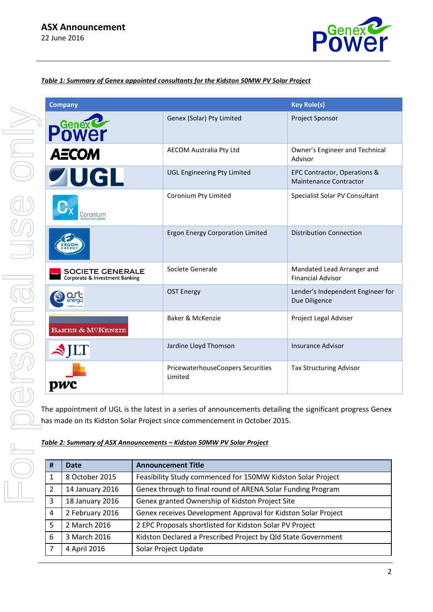

# *Table 1: Summary of Genex appointed consultants for the Kidston 50MW PV Solar Project*

| <b>Company</b>                                            |                                              | <b>Key Role(s)</b>                                            |
|-----------------------------------------------------------|----------------------------------------------|---------------------------------------------------------------|
| <b>OWEr</b>                                               | Genex (Solar) Pty Limited                    | Project Sponsor                                               |
| <b>AECOM</b>                                              | AECOM Australia Pty Ltd                      | Owner's Engineer and Technical<br>Advisor                     |
| <b>ZUGL</b>                                               | <b>UGL Engineering Pty Limited</b>           | EPC Contractor, Operations &<br><b>Maintenance Contractor</b> |
| Coroniur                                                  | Coronium Pty Limited                         | Specialist Solar PV Consultant                                |
|                                                           | <b>Ergon Energy Corporation Limited</b>      | <b>Distribution Connection</b>                                |
| <b>SOCIETE GENERALE</b><br>Corporate & Investment Banking | Societe Generale                             | Mandated Lead Arranger and<br><b>Financial Advisor</b>        |
|                                                           | <b>OST Energy</b>                            | Lender's Independent Engineer for<br>Due Diligence            |
| BAKER & MCKENZIE                                          | Baker & McKenzie                             | Project Legal Adviser                                         |
| LТ                                                        | Jardine Lloyd Thomson                        | <b>Insurance Advisor</b>                                      |
|                                                           | PricewaterhouseCoopers Securities<br>Limited | Tax Structuring Advisor                                       |

The appointment of UGL is the latest in a series of announcements detailing the significant progress Genex has made on its Kidston Solar Project since commencement in October 2015.

| Table 2: Summary of ASX Announcements - Kidston 50MW PV Solar Project |  |
|-----------------------------------------------------------------------|--|
|                                                                       |  |
|                                                                       |  |

| # | Date            | <b>Announcement Title</b>                                     |
|---|-----------------|---------------------------------------------------------------|
|   | 8 October 2015  | Feasibility Study commenced for 150MW Kidston Solar Project   |
| 2 | 14 January 2016 | Genex through to final round of ARENA Solar Funding Program   |
| 3 | 18 January 2016 | Genex granted Ownership of Kidston Project Site               |
| 4 | 2 February 2016 | Genex receives Development Approval for Kidston Solar Project |
| 5 | 2 March 2016    | 2 EPC Proposals shortlisted for Kidston Solar PV Project      |
| 6 | 3 March 2016    | Kidston Declared a Prescribed Project by Qld State Government |
|   | 4 April 2016    | Solar Project Update                                          |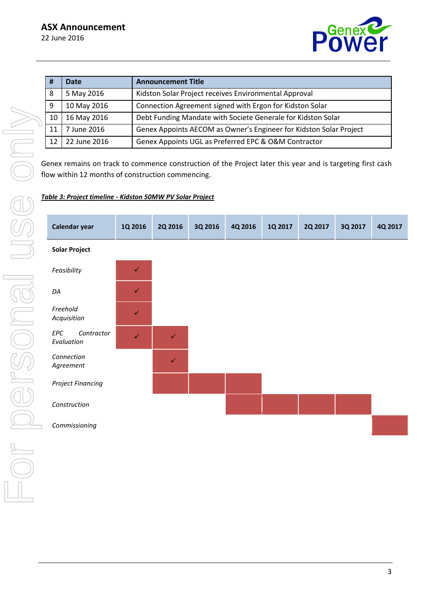

| #  | <b>Date</b>  | <b>Announcement Title</b>                                          |
|----|--------------|--------------------------------------------------------------------|
| 8  | 5 May 2016   | Kidston Solar Project receives Environmental Approval              |
| 9  | 10 May 2016  | Connection Agreement signed with Ergon for Kidston Solar           |
| 10 | 16 May 2016  | Debt Funding Mandate with Societe Generale for Kidston Solar       |
| 11 | 7 June 2016  | Genex Appoints AECOM as Owner's Engineer for Kidston Solar Project |
| 12 | 22 June 2016 | Genex Appoints UGL as Preferred EPC & O&M Contractor               |

Genex remains on track to commence construction of the Project later this year and is targeting first cash flow within 12 months of construction commencing.

## *Table 3: Project timeline - Kidston 50MW PV Solar Project*

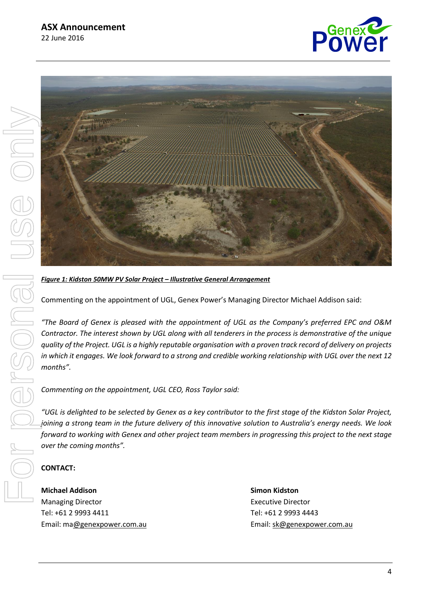



# *Figure 1: Kidston 50MW PV Solar Project – Illustrative General Arrangement*

Commenting on the appointment of UGL, Genex Power's Managing Director Michael Addison said:

*"The Board of Genex is pleased with the appointment of UGL as the Company's preferred EPC and O&M Contractor. The interest shown by UGL along with all tenderers in the process is demonstrative of the unique quality of the Project. UGL is a highly reputable organisation with a proven track record of delivery on projects in which it engages. We look forward to a strong and credible working relationship with UGL over the next 12 months".*

*Commenting on the appointment, UGL CEO, Ross Taylor said:*

*"UGL is delighted to be selected by Genex as a key contributor to the first stage of the Kidston Solar Project, joining a strong team in the future delivery of this innovative solution to Australia's energy needs. We look forward to working with Genex and other project team members in progressing this project to the next stage over the coming months".*

## **CONTACT:**

**Michael Addison Simon Kidston** Managing Director **Executive Director** Executive Director Tel: +61 2 9993 4411 Tel: +61 2 9993 4443